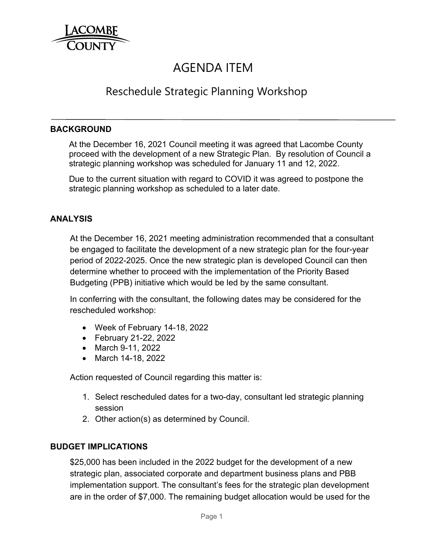

# AGENDA ITEM

## Reschedule Strategic Planning Workshop

#### **BACKGROUND**

 At the December 16, 2021 Council meeting it was agreed that Lacombe County proceed with the development of a new Strategic Plan. By resolution of Council a strategic planning workshop was scheduled for January 11 and 12, 2022.

 Due to the current situation with regard to COVID it was agreed to postpone the strategic planning workshop as scheduled to a later date.

#### **ANALYSIS**

At the December 16, 2021 meeting administration recommended that a consultant be engaged to facilitate the development of a new strategic plan for the four-year period of 2022-2025. Once the new strategic plan is developed Council can then determine whether to proceed with the implementation of the Priority Based Budgeting (PPB) initiative which would be led by the same consultant.

In conferring with the consultant, the following dates may be considered for the rescheduled workshop:

- Week of February 14-18, 2022
- February 21-22, 2022
- March 9-11, 2022
- March 14-18, 2022

Action requested of Council regarding this matter is:

- 1. Select rescheduled dates for a two-day, consultant led strategic planning session
- 2. Other action(s) as determined by Council.

### **BUDGET IMPLICATIONS**

\$25,000 has been included in the 2022 budget for the development of a new strategic plan, associated corporate and department business plans and PBB implementation support. The consultant's fees for the strategic plan development are in the order of \$7,000. The remaining budget allocation would be used for the